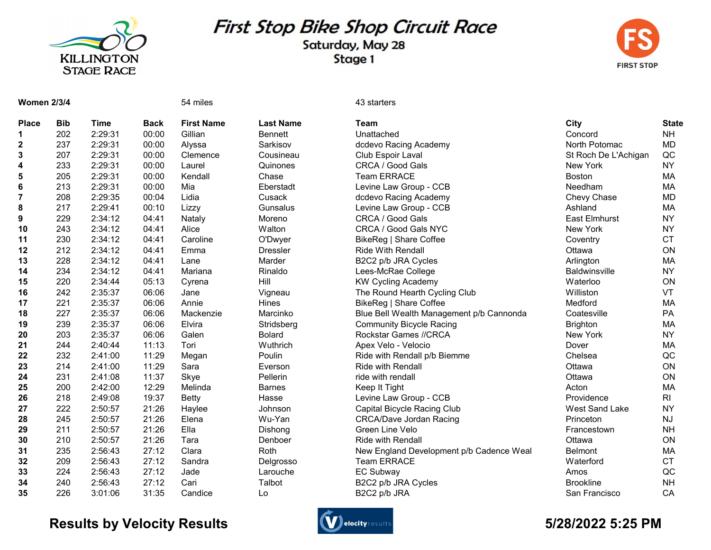

## First Stop Bike Shop Circuit Race

Saturday, May 28 Stage 1



| <b>Women 2/3/4</b> |            |             |             | 54 miles          |                  | 43 starters                              |                       |              |
|--------------------|------------|-------------|-------------|-------------------|------------------|------------------------------------------|-----------------------|--------------|
| <b>Place</b>       | <b>Bib</b> | <b>Time</b> | <b>Back</b> | <b>First Name</b> | <b>Last Name</b> | <b>Team</b>                              | City                  | <b>State</b> |
| 1                  | 202        | 2:29:31     | 00:00       | Gillian           | <b>Bennett</b>   | Unattached                               | Concord               | <b>NH</b>    |
| $\mathbf{2}$       | 237        | 2:29:31     | 00:00       | Alyssa            | Sarkisov         | dcdevo Racing Academy                    | North Potomac         | <b>MD</b>    |
| 3                  | 207        | 2:29:31     | 00:00       | Clemence          | Cousineau        | Club Espoir Laval                        | St Roch De L'Achigan  | QC           |
| 4                  | 233        | 2:29:31     | 00:00       | Laurel            | Quinones         | CRCA / Good Gals                         | New York              | <b>NY</b>    |
| 5                  | 205        | 2:29:31     | 00:00       | Kendall           | Chase            | <b>Team ERRACE</b>                       | <b>Boston</b>         | MA           |
| 6                  | 213        | 2:29:31     | 00:00       | Mia               | Eberstadt        | Levine Law Group - CCB                   | Needham               | MA           |
| 7                  | 208        | 2:29:35     | 00:04       | Lidia             | Cusack           | dcdevo Racing Academy                    | Chevy Chase           | <b>MD</b>    |
| 8                  | 217        | 2:29:41     | 00:10       | Lizzy             | Gunsalus         | Levine Law Group - CCB                   | Ashland               | MA           |
| 9                  | 229        | 2:34:12     | 04:41       | Nataly            | Moreno           | CRCA / Good Gals                         | <b>East Elmhurst</b>  | <b>NY</b>    |
| 10                 | 243        | 2:34:12     | 04:41       | Alice             | Walton           | CRCA / Good Gals NYC                     | New York              | <b>NY</b>    |
| 11                 | 230        | 2:34:12     | 04:41       | Caroline          | O'Dwyer          | BikeReg   Share Coffee                   | Coventry              | <b>CT</b>    |
| 12                 | 212        | 2:34:12     | 04:41       | Emma              | <b>Dressler</b>  | <b>Ride With Rendall</b>                 | Ottawa                | ON           |
| 13                 | 228        | 2:34:12     | 04:41       | Lane              | Marder           | B2C2 p/b JRA Cycles                      | Arlington             | MA           |
| 14                 | 234        | 2:34:12     | 04:41       | Mariana           | Rinaldo          | Lees-McRae College                       | <b>Baldwinsville</b>  | <b>NY</b>    |
| 15                 | 220        | 2:34:44     | 05:13       | Cyrena            | Hill             | <b>KW Cycling Academy</b>                | Waterloo              | ON           |
| 16                 | 242        | 2:35:37     | 06:06       | Jane              | Vigneau          | The Round Hearth Cycling Club            | Williston             | VT           |
| 17                 | 221        | 2:35:37     | 06:06       | Annie             | Hines            | BikeReg   Share Coffee                   | Medford               | MA           |
| 18                 | 227        | 2:35:37     | 06:06       | Mackenzie         | Marcinko         | Blue Bell Wealth Management p/b Cannonda | Coatesville           | PA           |
| 19                 | 239        | 2:35:37     | 06:06       | Elvira            | Stridsberg       | <b>Community Bicycle Racing</b>          | <b>Brighton</b>       | МA           |
| 20                 | 203        | 2:35:37     | 06:06       | Galen             | <b>Bolard</b>    | Rockstar Games //CRCA                    | New York              | <b>NY</b>    |
| 21                 | 244        | 2:40:44     | 11:13       | Tori              | Wuthrich         | Apex Velo - Velocio                      | Dover                 | MA           |
| 22                 | 232        | 2:41:00     | 11:29       | Megan             | Poulin           | Ride with Rendall p/b Biemme             | Chelsea               | QC           |
| 23                 | 214        | 2:41:00     | 11:29       | Sara              | Everson          | <b>Ride with Rendall</b>                 | Ottawa                | ON           |
| 24                 | 231        | 2:41:08     | 11:37       | Skye              | Pellerin         | ride with rendall                        | Ottawa                | ON           |
| 25                 | 200        | 2:42:00     | 12:29       | Melinda           | <b>Barnes</b>    | Keep It Tight                            | Acton                 | <b>MA</b>    |
| 26                 | 218        | 2:49:08     | 19:37       | <b>Betty</b>      | Hasse            | Levine Law Group - CCB                   | Providence            | RI           |
| 27                 | 222        | 2:50:57     | 21:26       | Haylee            | Johnson          | Capital Bicycle Racing Club              | <b>West Sand Lake</b> | <b>NY</b>    |
| 28                 | 245        | 2:50:57     | 21:26       | Elena             | Wu-Yan           | <b>CRCA/Dave Jordan Racing</b>           | Princeton             | <b>NJ</b>    |
| 29                 | 211        | 2:50:57     | 21:26       | Ella              | Dishong          | Green Line Velo                          | Francestown           | <b>NH</b>    |
| 30                 | 210        | 2:50:57     | 21:26       | Tara              | Denboer          | <b>Ride with Rendall</b>                 | Ottawa                | ON           |
| 31                 | 235        | 2:56:43     | 27:12       | Clara             | Roth             | New England Development p/b Cadence Weal | <b>Belmont</b>        | MA           |
| 32                 | 209        | 2:56:43     | 27:12       | Sandra            | Delgrosso        | <b>Team ERRACE</b>                       | Waterford             | <b>CT</b>    |
| 33                 | 224        | 2:56:43     | 27:12       | Jade              | Larouche         | <b>EC Subway</b>                         | Amos                  | QC           |
| 34                 | 240        | 2:56:43     | 27:12       | Cari              | Talbot           | B2C2 p/b JRA Cycles                      | <b>Brookline</b>      | <b>NH</b>    |
| 35                 | 226        | 3:01:06     | 31:35       | Candice           | Lo               | B2C2 p/b JRA                             | San Francisco         | CA           |

## Results by Velocity Results **Contracts Controllers** and the settlement of the State of the State of State of State of State of State of State of State of State of State of State of State of State of State of State of State